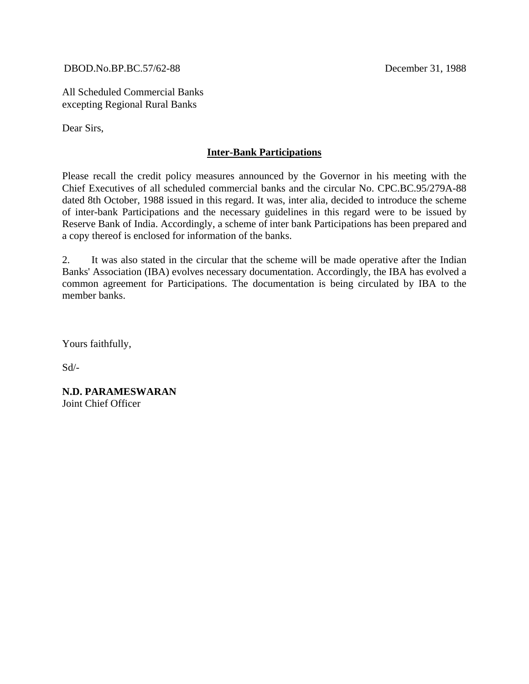DBOD.No.BP.BC.57/62-88 December 31, 1988

All Scheduled Commercial Banks excepting Regional Rural Banks

Dear Sirs,

## **Inter-Bank Participations**

Please recall the credit policy measures announced by the Governor in his meeting with the Chief Executives of all scheduled commercial banks and the circular No. CPC.BC.95/279A-88 dated 8th October, 1988 issued in this regard. It was, inter alia, decided to introduce the scheme of inter-bank Participations and the necessary guidelines in this regard were to be issued by Reserve Bank of India. Accordingly, a scheme of inter bank Participations has been prepared and a copy thereof is enclosed for information of the banks.

2. It was also stated in the circular that the scheme will be made operative after the Indian Banks' Association (IBA) evolves necessary documentation. Accordingly, the IBA has evolved a common agreement for Participations. The documentation is being circulated by IBA to the member banks.

Yours faithfully,

 $Sd$ <sup>-</sup>

**N.D. PARAMESWARAN** Joint Chief Officer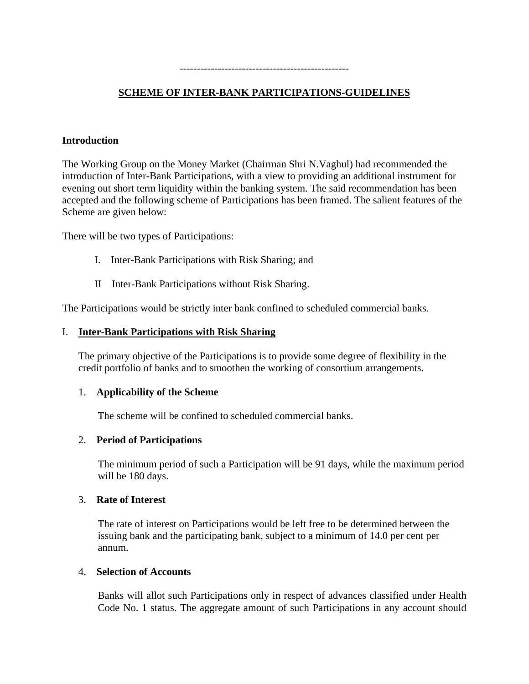#### -------------------------------------------------

# **SCHEME OF INTER-BANK PARTICIPATIONS-GUIDELINES**

### **Introduction**

The Working Group on the Money Market (Chairman Shri N.Vaghul) had recommended the introduction of Inter-Bank Participations, with a view to providing an additional instrument for evening out short term liquidity within the banking system. The said recommendation has been accepted and the following scheme of Participations has been framed. The salient features of the Scheme are given below:

There will be two types of Participations:

- I. Inter-Bank Participations with Risk Sharing; and
- II Inter-Bank Participations without Risk Sharing.

The Participations would be strictly inter bank confined to scheduled commercial banks.

#### I. **Inter-Bank Participations with Risk Sharing**

The primary objective of the Participations is to provide some degree of flexibility in the credit portfolio of banks and to smoothen the working of consortium arrangements.

#### 1. **Applicability of the Scheme**

The scheme will be confined to scheduled commercial banks.

#### 2. **Period of Participations**

The minimum period of such a Participation will be 91 days, while the maximum period will be 180 days.

#### 3. **Rate of Interest**

The rate of interest on Participations would be left free to be determined between the issuing bank and the participating bank, subject to a minimum of 14.0 per cent per annum.

#### 4. **Selection of Accounts**

Banks will allot such Participations only in respect of advances classified under Health Code No. 1 status. The aggregate amount of such Participations in any account should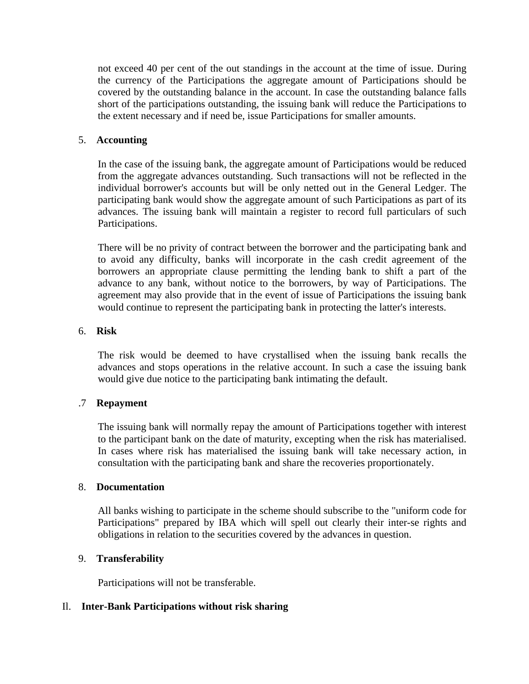not exceed 40 per cent of the out standings in the account at the time of issue. During the currency of the Participations the aggregate amount of Participations should be covered by the outstanding balance in the account. In case the outstanding balance falls short of the participations outstanding, the issuing bank will reduce the Participations to the extent necessary and if need be, issue Participations for smaller amounts.

### 5. **Accounting**

In the case of the issuing bank, the aggregate amount of Participations would be reduced from the aggregate advances outstanding. Such transactions will not be reflected in the individual borrower's accounts but will be only netted out in the General Ledger. The participating bank would show the aggregate amount of such Participations as part of its advances. The issuing bank will maintain a register to record full particulars of such Participations.

There will be no privity of contract between the borrower and the participating bank and to avoid any difficulty, banks will incorporate in the cash credit agreement of the borrowers an appropriate clause permitting the lending bank to shift a part of the advance to any bank, without notice to the borrowers, by way of Participations. The agreement may also provide that in the event of issue of Participations the issuing bank would continue to represent the participating bank in protecting the latter's interests.

### 6. **Risk**

The risk would be deemed to have crystallised when the issuing bank recalls the advances and stops operations in the relative account. In such a case the issuing bank would give due notice to the participating bank intimating the default.

### .7 **Repayment**

The issuing bank will normally repay the amount of Participations together with interest to the participant bank on the date of maturity, excepting when the risk has materialised. In cases where risk has materialised the issuing bank will take necessary action, in consultation with the participating bank and share the recoveries proportionately.

### 8. **Documentation**

All banks wishing to participate in the scheme should subscribe to the "uniform code for Participations" prepared by IBA which will spell out clearly their inter-se rights and obligations in relation to the securities covered by the advances in question.

### 9. **Transferability**

Participations will not be transferable.

### Il. **Inter-Bank Participations without risk sharing**